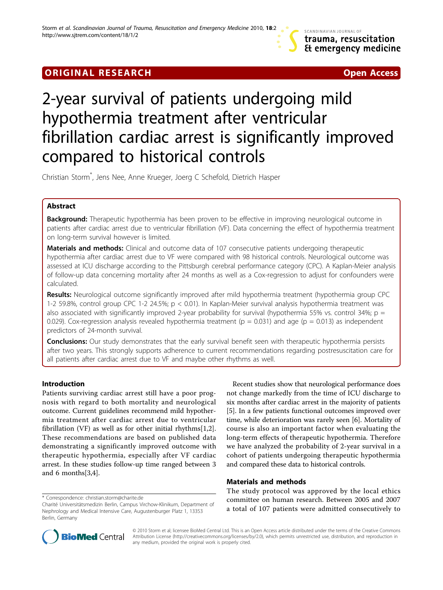# **ORIGINAL RESEARCH CONSUMING ACCESS**



# 2-year survival of patients undergoing mild hypothermia treatment after ventricular fibrillation cardiac arrest is significantly improved compared to historical controls

Christian Storm\* , Jens Nee, Anne Krueger, Joerg C Schefold, Dietrich Hasper

# Abstract

**Background:** Therapeutic hypothermia has been proven to be effective in improving neurological outcome in patients after cardiac arrest due to ventricular fibrillation (VF). Data concerning the effect of hypothermia treatment on long-term survival however is limited.

**Materials and methods:** Clinical and outcome data of 107 consecutive patients undergoing therapeutic hypothermia after cardiac arrest due to VF were compared with 98 historical controls. Neurological outcome was assessed at ICU discharge according to the Pittsburgh cerebral performance category (CPC). A Kaplan-Meier analysis of follow-up data concerning mortality after 24 months as well as a Cox-regression to adjust for confounders were calculated.

Results: Neurological outcome significantly improved after mild hypothermia treatment (hypothermia group CPC 1-2 59.8%, control group CPC 1-2 24.5%; p < 0.01). In Kaplan-Meier survival analysis hypothermia treatment was also associated with significantly improved 2-year probability for survival (hypothermia 55% vs. control 34%;  $p =$ 0.029). Cox-regression analysis revealed hypothermia treatment ( $p = 0.031$ ) and age ( $p = 0.013$ ) as independent predictors of 24-month survival.

**Conclusions:** Our study demonstrates that the early survival benefit seen with therapeutic hypothermia persists after two years. This strongly supports adherence to current recommendations regarding postresuscitation care for all patients after cardiac arrest due to VF and maybe other rhythms as well.

# Introduction

Patients surviving cardiac arrest still have a poor prognosis with regard to both mortality and neurological outcome. Current guidelines recommend mild hypothermia treatment after cardiac arrest due to ventricular fibrillation (VF) as well as for other initial rhythms[[1,2](#page-3-0)]. These recommendations are based on published data demonstrating a significantly improved outcome with therapeutic hypothermia, especially after VF cardiac arrest. In these studies follow-up time ranged between 3 and 6 months[[3,4\]](#page-3-0).

\* Correspondence: christian.storm@charite.de

Recent studies show that neurological performance does not change markedly from the time of ICU discharge to six months after cardiac arrest in the majority of patients [[5\]](#page-3-0). In a few patients functional outcomes improved over time, while deterioration was rarely seen [\[6](#page-3-0)]. Mortality of course is also an important factor when evaluating the long-term effects of therapeutic hypothermia. Therefore we have analyzed the probability of 2-year survival in a cohort of patients undergoing therapeutic hypothermia and compared these data to historical controls.

# Materials and methods

The study protocol was approved by the local ethics committee on human research. Between 2005 and 2007 a total of 107 patients were admitted consecutively to



© 2010 Storm et al; licensee BioMed Central Ltd. This is an Open Access article distributed under the terms of the Creative Commons Attribution License (http://creativecommons.org/licenses/by/2.0), which permits unrestricted use, distribution, and reproduction in any medium, provided the original work is properly cited.

Charité Universitätsmedizin Berlin, Campus Virchow-Klinikum, Department of Nephrology and Medical Intensive Care, Augustenburger Platz 1, 13353 Berlin, Germany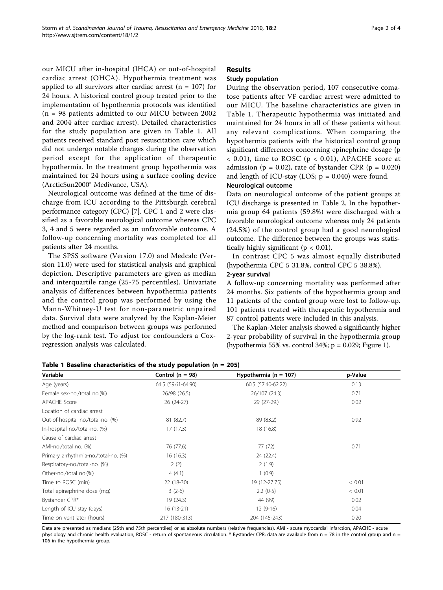our MICU after in-hospital (IHCA) or out-of-hospital cardiac arrest (OHCA). Hypothermia treatment was applied to all survivors after cardiac arrest ( $n = 107$ ) for 24 hours. A historical control group treated prior to the implementation of hypothermia protocols was identified (n = 98 patients admitted to our MICU between 2002 and 2004 after cardiac arrest). Detailed characteristics for the study population are given in Table 1. All patients received standard post resuscitation care which did not undergo notable changes during the observation period except for the application of therapeutic hypothermia. In the treatment group hypothermia was maintained for 24 hours using a surface cooling device (ArcticSun2000® Medivance, USA).

Neurological outcome was defined at the time of discharge from ICU according to the Pittsburgh cerebral performance category (CPC) [[7\]](#page-3-0). CPC 1 and 2 were classified as a favorable neurological outcome whereas CPC 3, 4 and 5 were regarded as an unfavorable outcome. A follow-up concerning mortality was completed for all patients after 24 months.

The SPSS software (Version 17.0) and Medcalc (Version 11.0) were used for statistical analysis and graphical depiction. Descriptive parameters are given as median and interquartile range (25-75 percentiles). Univariate analysis of differences between hypothermia patients and the control group was performed by using the Mann-Whitney-U test for non-parametric unpaired data. Survival data were analyzed by the Kaplan-Meier method and comparison between groups was performed by the log-rank test. To adjust for confounders a Coxregression analysis was calculated.

# Results

# Study population

During the observation period, 107 consecutive comatose patients after VF cardiac arrest were admitted to our MICU. The baseline characteristics are given in Table 1. Therapeutic hypothermia was initiated and maintained for 24 hours in all of these patients without any relevant complications. When comparing the hypothermia patients with the historical control group significant differences concerning epinephrine dosage (p  $<$  0.01), time to ROSC ( $p < 0.01$ ), APACHE score at admission ( $p = 0.02$ ), rate of bystander CPR ( $p = 0.020$ ) and length of ICU-stay (LOS;  $p = 0.040$ ) were found.

# Neurological outcome

Data on neurological outcome of the patient groups at ICU discharge is presented in Table [2.](#page-2-0) In the hypothermia group 64 patients (59.8%) were discharged with a favorable neurological outcome whereas only 24 patients (24.5%) of the control group had a good neurological outcome. The difference between the groups was statistically highly significant ( $p < 0.01$ ).

In contrast CPC 5 was almost equally distributed (hypothermia CPC 5 31.8%, control CPC 5 38.8%).

## 2-year survival

A follow-up concerning mortality was performed after 24 months. Six patients of the hypothermia group and 11 patients of the control group were lost to follow-up. 101 patients treated with therapeutic hypothermia and 87 control patients were included in this analysis.

The Kaplan-Meier analysis showed a significantly higher 2-year probability of survival in the hypothermia group (hypothermia 55% vs. control 34%;  $p = 0.029$ ; Figure [1\)](#page-2-0).

| Variable                             | Control ( $n = 98$ ) | Hypothermia ( $n = 107$ ) | p-Value |  |
|--------------------------------------|----------------------|---------------------------|---------|--|
| Age (years)                          | 64.5 (59.61-64.90)   | 60.5 (57.40-62.22)        | 0.13    |  |
| Female sex-no./total no.(%)          | 26/98 (26.5)         | 26/107 (24.3)             | 0.71    |  |
| <b>APACHE Score</b>                  | 26 (24-27)           | 29 (27-29.)               | 0.02    |  |
| Location of cardiac arrest           |                      |                           |         |  |
| Out-of-hospital no./total-no. (%)    | 81 (82.7)            | 89 (83.2)                 | 0.92    |  |
| In-hospital no./total-no. (%)        | 17(17.3)             | 18 (16.8)                 |         |  |
| Cause of cardiac arrest              |                      |                           |         |  |
| AMI-no./total no. (%)                | 76 (77.6)            | 77 (72)                   | 0.71    |  |
| Primary arrhythmia-no./total-no. (%) | 16(16.3)             | 24 (22.4)                 |         |  |
| Respiratory-no./total-no. (%)        | 2(2)                 | 2(1.9)                    |         |  |
| Other-no./total no.(%)               | 4(4.1)               | 1(0.9)                    |         |  |
| Time to ROSC (min)                   | 22 (18-30)           | 19 (12-27.75)             | < 0.01  |  |
| Total epinephrine dose (mg)          | $3(2-6)$             | $2.2(0-5)$                | < 0.01  |  |
| Bystander CPR*                       | 19 (24.3)            | 44 (99)                   | 0.02    |  |
| Length of ICU stay (days)            | $16(13-21)$          | $12(9-16)$                | 0.04    |  |
| Time on ventilator (hours)           | 217 (180-313)        | 204 (145-243)             | 0.20    |  |

Table 1 Baseline characteristics of the study population (n = 205)

Data are presented as medians (25th and 75th percentiles) or as absolute numbers (relative frequencies). AMI - acute myocardial infarction, APACHE - acute physiology and chronic health evaluation, ROSC - return of spontaneous circulation. \* Bystander CPR; data are available from n = 78 in the control group and n = 106 in the hypothermia group.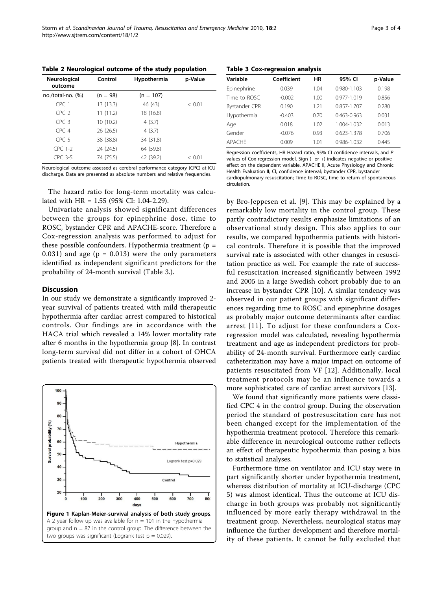<span id="page-2-0"></span>

| Neurological<br>outcome | Control    | Hypothermia | p-Value |  |
|-------------------------|------------|-------------|---------|--|
| no./total-no. (%)       | $(n = 98)$ | $(n = 107)$ |         |  |
| CPC <sub>1</sub>        | 13(13.3)   | 46 (43)     | < 0.01  |  |
| CPC <sub>2</sub>        | 11(11.2)   | 18 (16.8)   |         |  |
| CPC <sub>3</sub>        | 10 (10.2)  | 4(3.7)      |         |  |
| CPC <sub>4</sub>        | 26(26.5)   | 4(3.7)      |         |  |
| CPC <sub>5</sub>        | 38 (38.8)  | 34 (31.8)   |         |  |
| CPC 1-2                 | 24 (24.5)  | 64 (59.8)   |         |  |
| CPC 3-5                 | 74 (75.5)  | 42 (39.2)   | < 0.01  |  |

Neurological outcome assessed as cerebral performance category (CPC) at ICU discharge. Data are presented as absolute numbers and relative frequencies.

The hazard ratio for long-term mortality was calculated with HR = 1.55 (95% CI: 1.04-2.29).

Univariate analysis showed significant differences between the groups for epinephrine dose, time to ROSC, bystander CPR and APACHE-score. Therefore a Cox-regression analysis was performed to adjust for these possible confounders. Hypothermia treatment ( $p =$ 0.031) and age ( $p = 0.013$ ) were the only parameters identified as independent significant predictors for the probability of 24-month survival (Table 3.).

#### **Discussion**

In our study we demonstrate a significantly improved 2 year survival of patients treated with mild therapeutic hypothermia after cardiac arrest compared to historical controls. Our findings are in accordance with the HACA trial which revealed a 14% lower mortality rate after 6 months in the hypothermia group [\[8](#page-3-0)]. In contrast long-term survival did not differ in a cohort of OHCA patients treated with therapeutic hypothermia observed



Table 3 Cox-regression analysis

| Variable      | Coefficient | HR   | 95% CI          | p-Value |
|---------------|-------------|------|-----------------|---------|
| Epinephrine   | 0.039       | 1.04 | 0.980-1.103     | 0.198   |
| Time to ROSC  | $-0.002$    | 1.00 | $0.977 - 1.019$ | 0.856   |
| Bystander CPR | 0.190       | 1.21 | 0.857-1.707     | 0.280   |
| Hypothermia   | $-0.403$    | 0.70 | $0.463 - 0.963$ | 0.031   |
| Age           | 0.018       | 1.02 | 1.004-1.032     | 0.013   |
| Gender        | $-0.076$    | 0.93 | 0.623-1.378     | 0.706   |
| <b>APACHE</b> | 0.009       | 1.01 | 0.986-1.032     | 0.445   |

Regression coefficients, HR Hazard ratio, 95% CI confidence intervals, and P values of Cox-regression model. Sign (- or +) indicates negative or positive effect on the dependent variable. APACHE II, Acute Physiology and Chronic Health Evaluation II; CI, confidence interval; bystander CPR, bystander cardiopulmonary resuscitation; Time to ROSC, time to return of spontaneous circulation.

by Bro-Jeppesen et al. [[9\]](#page-3-0). This may be explained by a remarkably low mortality in the control group. These partly contradictory results emphasize limitations of an observational study design. This also applies to our results, we compared hypothermia patients with historical controls. Therefore it is possible that the improved survival rate is associated with other changes in resuscitation practice as well. For example the rate of successful resuscitation increased significantly between 1992 and 2005 in a large Swedish cohort probably due to an increase in bystander CPR [[10\]](#page-3-0). A similar tendency was observed in our patient groups with significant differences regarding time to ROSC and epinephrine dosages as probably major outcome determinants after cardiac arrest [[11\]](#page-3-0). To adjust for these confounders a Coxregression model was calculated, revealing hypothermia treatment and age as independent predictors for probability of 24-month survival. Furthermore early cardiac catheterization may have a major impact on outcome of patients resuscitated from VF [\[12\]](#page-3-0). Additionally, local treatment protocols may be an influence towards a more sophisticated care of cardiac arrest survivors [[13\]](#page-3-0).

We found that significantly more patients were classified CPC 4 in the control group. During the observation period the standard of postresuscitation care has not been changed except for the implementation of the hypothermia treatment protocol. Therefore this remarkable difference in neurological outcome rather reflects an effect of therapeutic hypothermia than posing a bias to statistical analyses.

Furthermore time on ventilator and ICU stay were in part significantly shorter under hypothermia treatment, whereas distribution of mortality at ICU-discharge (CPC 5) was almost identical. Thus the outcome at ICU discharge in both groups was probably not significantly influenced by more early therapy withdrawal in the treatment group. Nevertheless, neurological status may influence the further development and therefore mortality of these patients. It cannot be fully excluded that